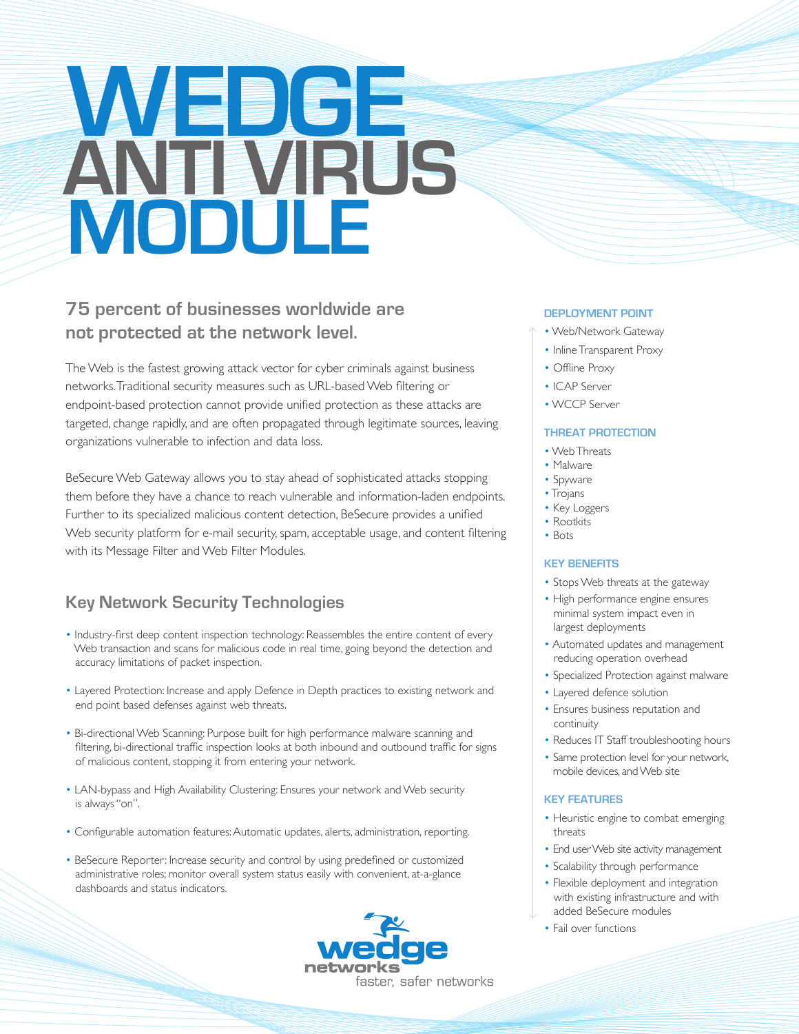# **WEDGE ANTI VIRUS MODULE**

## **75 percent of businesses worldwide are not protected at the network level.**

The Web is the fastest growing attack vector for cyber criminals against business networks. Traditional security measures such as URL-based Web filtering or endpoint-based protection cannot provide unified protection as these attacks are targeted, change rapidly, and are often propagated through legitimate sources, leaving organizations vulnerable to infection and data loss.

BeSecure Web Gateway allows you to stay ahead of sophisticated attacks stopping them before they have a chance to reach vulnerable and information-laden endpoints. Further to its specialized malicious content detection, BeSecure provides a unified Web security platform for e-mail security, spam, acceptable usage, and content filtering with its Message Filter and Web Filter Modules.

## **Key Network Security Technologies**

- Industry-first deep content inspection technology: Reassembles the entire content of every Web transaction and scans for malicious code in real time, going beyond the detection and accuracy limitations of packet inspection.
- Layered Protection: Increase and apply Defence in Depth practices to existing network and end point based defenses against web threats.
- Bi-directional Web Scanning: Purpose built for high performance malware scanning and filtering, bi-directional traffic inspection looks at both inbound and outbound traffic for signs of malicious content, stopping it from entering your network.
- LAN-bypass and High Availability Clustering: Ensures your network and Web security is always "on".
- Configurable automation features: Automatic updates, alerts, administration, reporting.
- BeSecure Reporter: Increase security and control by using predefined or customized administrative roles; monitor overall system status easily with convenient, at-a-glance dashboards and status indicators.



#### **DEPLOYMENT POINT**

- Web/Network Gateway
- Inline Transparent Proxy
- Offline Proxy
- ICAP Server
- WCCP Server

#### **THREAT PROTECTION**

- Web Threats
- Malware
- Spyware
- Trojans
- Key Loggers
- Rootkits • Bots
- 

#### **KEY BENEFITS**

- Stops Web threats at the gateway
- High performance engine ensures minimal system impact even in largest deployments
- Automated updates and management reducing operation overhead
- Specialized Protection against malware
- Layered defence solution
- Ensures business reputation and continuity
- Reduces IT Staff troubleshooting hours
- Same protection level for your network, mobile devices, and Web site

#### **KEY FEATURES**

- Heuristic engine to combat emerging threats
- End user Web site activity management
- Scalability through performance
- Flexible deployment and integration with existing infrastructure and with added BeSecure modules
- Fail over functions